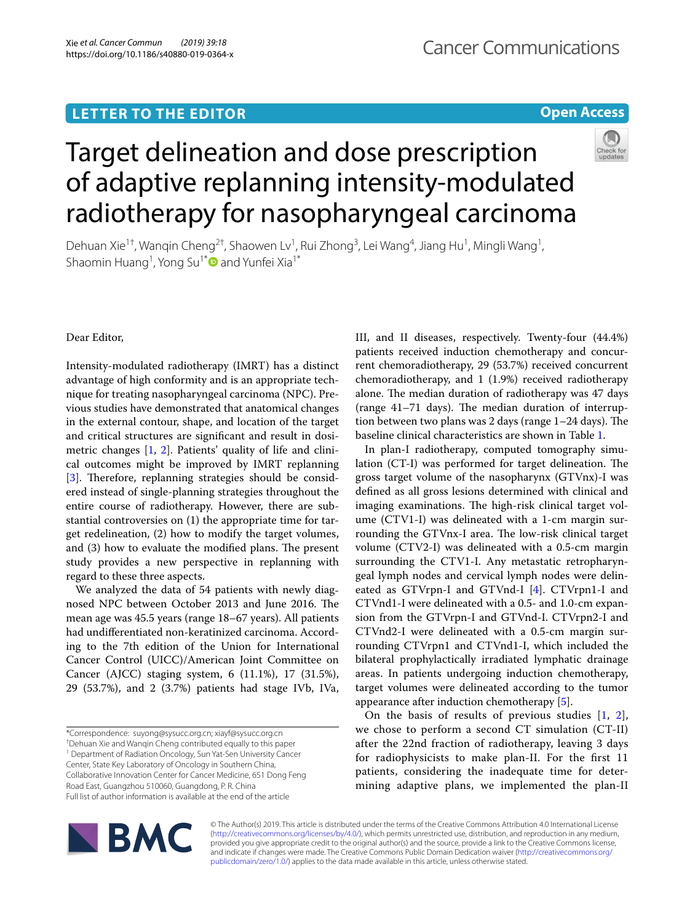# **LETTER TO THE EDITOR**

# **Open Access**



# Target delineation and dose prescription of adaptive replanning intensity-modulated radiotherapy for nasopharyngeal carcinoma

Dehuan Xie<sup>1†</sup>, Wanqin Cheng<sup>2†</sup>, Shaowen Lv<sup>1</sup>, Rui Zhong<sup>3</sup>, Lei Wang<sup>4</sup>, Jiang Hu<sup>1</sup>, Mingli Wang<sup>1</sup>, Shaomin Huang<sup>1</sup>, Yong Su<sup>1\*</sup> and Yunfei Xia<sup>1\*</sup>

Dear Editor,

Intensity-modulated radiotherapy (IMRT) has a distinct advantage of high conformity and is an appropriate technique for treating nasopharyngeal carcinoma (NPC). Previous studies have demonstrated that anatomical changes in the external contour, shape, and location of the target and critical structures are signifcant and result in dosimetric changes [[1,](#page-3-0) [2\]](#page-3-1). Patients' quality of life and clinical outcomes might be improved by IMRT replanning  $[3]$  $[3]$ . Therefore, replanning strategies should be considered instead of single-planning strategies throughout the entire course of radiotherapy. However, there are substantial controversies on (1) the appropriate time for target redelineation, (2) how to modify the target volumes, and (3) how to evaluate the modified plans. The present study provides a new perspective in replanning with regard to these three aspects.

We analyzed the data of 54 patients with newly diagnosed NPC between October 2013 and June 2016. The mean age was 45.5 years (range 18–67 years). All patients had undiferentiated non-keratinized carcinoma. According to the 7th edition of the Union for International Cancer Control (UICC)/American Joint Committee on Cancer (AJCC) staging system, 6 (11.1%), 17 (31.5%), 29 (53.7%), and 2 (3.7%) patients had stage IVb, IVa,

<sup>1</sup> Department of Radiation Oncology, Sun Yat-Sen University Cancer

Center, State Key Laboratory of Oncology in Southern China,

Collaborative Innovation Center for Cancer Medicine, 651 Dong Feng Road East, Guangzhou 510060, Guangdong, P. R. China

Full list of author information is available at the end of the article

III, and II diseases, respectively. Twenty-four (44.4%) patients received induction chemotherapy and concurrent chemoradiotherapy, 29 (53.7%) received concurrent chemoradiotherapy, and 1 (1.9%) received radiotherapy alone. The median duration of radiotherapy was 47 days  $(range 41–71 days)$ . The median duration of interruption between two plans was 2 days (range  $1-24$  days). The baseline clinical characteristics are shown in Table [1.](#page-1-0)

In plan-I radiotherapy, computed tomography simulation (CT-I) was performed for target delineation. The gross target volume of the nasopharynx (GTVnx)-I was defned as all gross lesions determined with clinical and imaging examinations. The high-risk clinical target volume (CTV1-I) was delineated with a 1-cm margin surrounding the GTVnx-I area. The low-risk clinical target volume (CTV2-I) was delineated with a 0.5-cm margin surrounding the CTV1-I. Any metastatic retropharyngeal lymph nodes and cervical lymph nodes were delineated as GTVrpn-I and GTVnd-I [\[4\]](#page-3-3). CTVrpn1-I and CTVnd1-I were delineated with a 0.5- and 1.0-cm expansion from the GTVrpn-I and GTVnd-I. CTVrpn2-I and CTVnd2-I were delineated with a 0.5-cm margin surrounding CTVrpn1 and CTVnd1-I, which included the bilateral prophylactically irradiated lymphatic drainage areas. In patients undergoing induction chemotherapy, target volumes were delineated according to the tumor appearance after induction chemotherapy [[5\]](#page-3-4).

On the basis of results of previous studies [\[1](#page-3-0), [2](#page-3-1)], we chose to perform a second CT simulation (CT-II) after the 22nd fraction of radiotherapy, leaving 3 days for radiophysicists to make plan-II. For the frst 11 patients, considering the inadequate time for determining adaptive plans, we implemented the plan-II



© The Author(s) 2019. This article is distributed under the terms of the Creative Commons Attribution 4.0 International License [\(http://creativecommons.org/licenses/by/4.0/\)](http://creativecommons.org/licenses/by/4.0/), which permits unrestricted use, distribution, and reproduction in any medium, provided you give appropriate credit to the original author(s) and the source, provide a link to the Creative Commons license, and indicate if changes were made. The Creative Commons Public Domain Dedication waiver ([http://creativecommons.org/](http://creativecommons.org/publicdomain/zero/1.0/) [publicdomain/zero/1.0/](http://creativecommons.org/publicdomain/zero/1.0/)) applies to the data made available in this article, unless otherwise stated.

<sup>\*</sup>Correspondence: suyong@sysucc.org.cn; xiayf@sysucc.org.cn

<sup>†</sup> Dehuan Xie and Wanqin Cheng contributed equally to this paper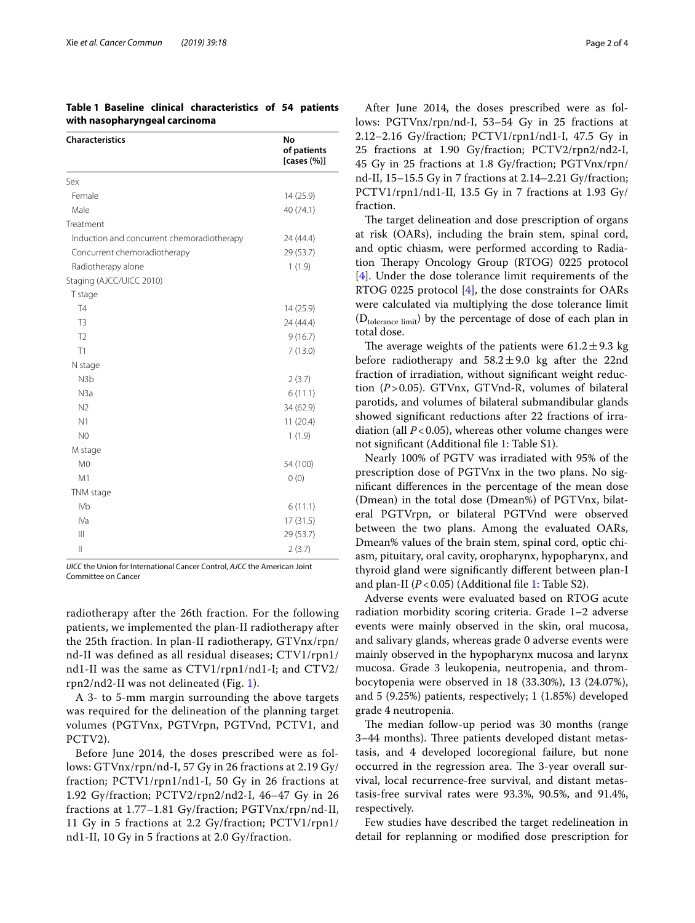<span id="page-1-0"></span>**Table 1 Baseline clinical characteristics of 54 patients with nasopharyngeal carcinoma**

| <b>Characteristics</b>                     | No<br>of patients<br>[cases $(\%)$ ] |
|--------------------------------------------|--------------------------------------|
| Sex                                        |                                      |
| Female                                     | 14 (25.9)                            |
| Male                                       | 40 (74.1)                            |
| Treatment                                  |                                      |
| Induction and concurrent chemoradiotherapy | 24 (44.4)                            |
| Concurrent chemoradiotherapy               | 29 (53.7)                            |
| Radiotherapy alone                         | 1(1.9)                               |
| Staging (AJCC/UICC 2010)                   |                                      |
| T stage                                    |                                      |
| <b>T4</b>                                  | 14 (25.9)                            |
| T <sub>3</sub>                             | 24 (44.4)                            |
| T <sub>2</sub>                             | 9(16.7)                              |
| T1                                         | 7(13.0)                              |
| N stage                                    |                                      |
| N <sub>3</sub> b                           | 2(3.7)                               |
| N3a                                        | 6(11.1)                              |
| N <sub>2</sub>                             | 34 (62.9)                            |
| N <sub>1</sub>                             | 11(20.4)                             |
| N <sub>0</sub>                             | 1(1.9)                               |
| M stage                                    |                                      |
| M <sub>0</sub>                             | 54 (100)                             |
| M1                                         | 0(0)                                 |
| TNM stage                                  |                                      |
| <b>IVb</b>                                 | 6(11.1)                              |
| IVa                                        | 17(31.5)                             |
| $\parallel$                                | 29 (53.7)                            |
| $\mathsf{II}$                              | 2(3.7)                               |

*UICC* the Union for International Cancer Control, *AJCC* the American Joint Committee on Cancer

radiotherapy after the 26th fraction. For the following patients, we implemented the plan-II radiotherapy after the 25th fraction. In plan-II radiotherapy, GTVnx/rpn/ nd-II was defned as all residual diseases; CTV1/rpn1/ nd1-II was the same as CTV1/rpn1/nd1-I; and CTV2/ rpn2/nd2-II was not delineated (Fig. [1\)](#page-2-0).

A 3- to 5-mm margin surrounding the above targets was required for the delineation of the planning target volumes (PGTVnx, PGTVrpn, PGTVnd, PCTV1, and PCTV2).

Before June 2014, the doses prescribed were as follows: GTVnx/rpn/nd-I, 57 Gy in 26 fractions at 2.19 Gy/ fraction; PCTV1/rpn1/nd1-I, 50 Gy in 26 fractions at 1.92 Gy/fraction; PCTV2/rpn2/nd2-I, 46–47 Gy in 26 fractions at 1.77–1.81 Gy/fraction; PGTVnx/rpn/nd-II, 11 Gy in 5 fractions at 2.2 Gy/fraction; PCTV1/rpn1/ nd1-II, 10 Gy in 5 fractions at 2.0 Gy/fraction.

After June 2014, the doses prescribed were as follows: PGTVnx/rpn/nd-I, 53–54 Gy in 25 fractions at 2.12–2.16 Gy/fraction; PCTV1/rpn1/nd1-I, 47.5 Gy in 25 fractions at 1.90 Gy/fraction; PCTV2/rpn2/nd2-I, 45 Gy in 25 fractions at 1.8 Gy/fraction; PGTVnx/rpn/ nd-II, 15–15.5 Gy in 7 fractions at 2.14–2.21 Gy/fraction; PCTV1/rpn1/nd1-II, 13.5 Gy in 7 fractions at 1.93 Gy/ fraction.

The target delineation and dose prescription of organs at risk (OARs), including the brain stem, spinal cord, and optic chiasm, were performed according to Radiation Therapy Oncology Group (RTOG) 0225 protocol [[4\]](#page-3-3). Under the dose tolerance limit requirements of the RTOG 0225 protocol [[4\]](#page-3-3), the dose constraints for OARs were calculated via multiplying the dose tolerance limit  $(D_{tolerance limit})$  by the percentage of dose of each plan in total dose.

The average weights of the patients were  $61.2 \pm 9.3$  kg before radiotherapy and  $58.2 \pm 9.0$  kg after the 22nd fraction of irradiation, without signifcant weight reduction (*P*>0.05). GTVnx, GTVnd-R, volumes of bilateral parotids, and volumes of bilateral submandibular glands showed signifcant reductions after 22 fractions of irradiation (all  $P < 0.05$ ), whereas other volume changes were not signifcant (Additional fle [1](#page-3-5): Table S1).

Nearly 100% of PGTV was irradiated with 95% of the prescription dose of PGTVnx in the two plans. No signifcant diferences in the percentage of the mean dose (Dmean) in the total dose (Dmean%) of PGTVnx, bilateral PGTVrpn, or bilateral PGTVnd were observed between the two plans. Among the evaluated OARs, Dmean% values of the brain stem, spinal cord, optic chiasm, pituitary, oral cavity, oropharynx, hypopharynx, and thyroid gland were signifcantly diferent between plan-I and plan-II (*P*<0.05) (Additional fle [1](#page-3-5): Table S2).

Adverse events were evaluated based on RTOG acute radiation morbidity scoring criteria. Grade 1–2 adverse events were mainly observed in the skin, oral mucosa, and salivary glands, whereas grade 0 adverse events were mainly observed in the hypopharynx mucosa and larynx mucosa. Grade 3 leukopenia, neutropenia, and thrombocytopenia were observed in 18 (33.30%), 13 (24.07%), and 5 (9.25%) patients, respectively; 1 (1.85%) developed grade 4 neutropenia.

The median follow-up period was 30 months (range 3–44 months). Three patients developed distant metastasis, and 4 developed locoregional failure, but none occurred in the regression area. The 3-year overall survival, local recurrence-free survival, and distant metastasis-free survival rates were 93.3%, 90.5%, and 91.4%, respectively.

Few studies have described the target redelineation in detail for replanning or modifed dose prescription for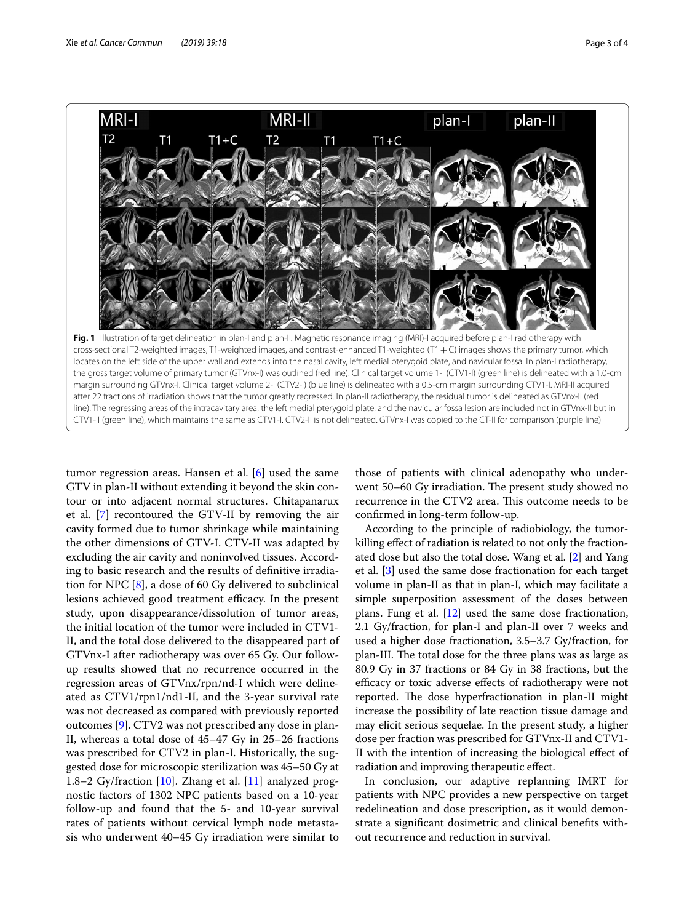

<span id="page-2-0"></span>line). The regressing areas of the intracavitary area, the left medial pterygoid plate, and the navicular fossa lesion are included not in GTVnx-II but in CTV1-II (green line), which maintains the same as CTV1-I. CTV2-II is not delineated. GTVnx-I was copied to the CT-II for comparison (purple line)

tumor regression areas. Hansen et al. [\[6](#page-3-6)] used the same GTV in plan-II without extending it beyond the skin contour or into adjacent normal structures. Chitapanarux et al. [[7](#page-3-7)] recontoured the GTV-II by removing the air cavity formed due to tumor shrinkage while maintaining the other dimensions of GTV-I. CTV-II was adapted by excluding the air cavity and noninvolved tissues. According to basic research and the results of defnitive irradiation for NPC [\[8](#page-3-8)], a dose of 60 Gy delivered to subclinical lesions achieved good treatment efficacy. In the present study, upon disappearance/dissolution of tumor areas, the initial location of the tumor were included in CTV1- II, and the total dose delivered to the disappeared part of GTVnx-I after radiotherapy was over 65 Gy. Our followup results showed that no recurrence occurred in the regression areas of GTVnx/rpn/nd-I which were delineated as CTV1/rpn1/nd1-II, and the 3-year survival rate was not decreased as compared with previously reported outcomes [[9\]](#page-3-9). CTV2 was not prescribed any dose in plan-II, whereas a total dose of 45–47 Gy in 25–26 fractions was prescribed for CTV2 in plan-I. Historically, the suggested dose for microscopic sterilization was 45–50 Gy at 1.8–2 Gy/fraction [\[10\]](#page-3-10). Zhang et al. [\[11](#page-3-11)] analyzed prognostic factors of 1302 NPC patients based on a 10-year follow-up and found that the 5- and 10-year survival rates of patients without cervical lymph node metastasis who underwent 40–45 Gy irradiation were similar to

those of patients with clinical adenopathy who underwent 50–60 Gy irradiation. The present study showed no recurrence in the CTV2 area. This outcome needs to be confrmed in long-term follow-up.

According to the principle of radiobiology, the tumorkilling efect of radiation is related to not only the fractionated dose but also the total dose. Wang et al. [[2\]](#page-3-1) and Yang et al. [[3](#page-3-2)] used the same dose fractionation for each target volume in plan-II as that in plan-I, which may facilitate a simple superposition assessment of the doses between plans. Fung et al. [[12](#page-3-12)] used the same dose fractionation, 2.1 Gy/fraction, for plan-I and plan-II over 7 weeks and used a higher dose fractionation, 3.5–3.7 Gy/fraction, for plan-III. The total dose for the three plans was as large as 80.9 Gy in 37 fractions or 84 Gy in 38 fractions, but the efficacy or toxic adverse effects of radiotherapy were not reported. The dose hyperfractionation in plan-II might increase the possibility of late reaction tissue damage and may elicit serious sequelae. In the present study, a higher dose per fraction was prescribed for GTVnx-II and CTV1- II with the intention of increasing the biological efect of radiation and improving therapeutic efect.

In conclusion, our adaptive replanning IMRT for patients with NPC provides a new perspective on target redelineation and dose prescription, as it would demonstrate a signifcant dosimetric and clinical benefts without recurrence and reduction in survival.